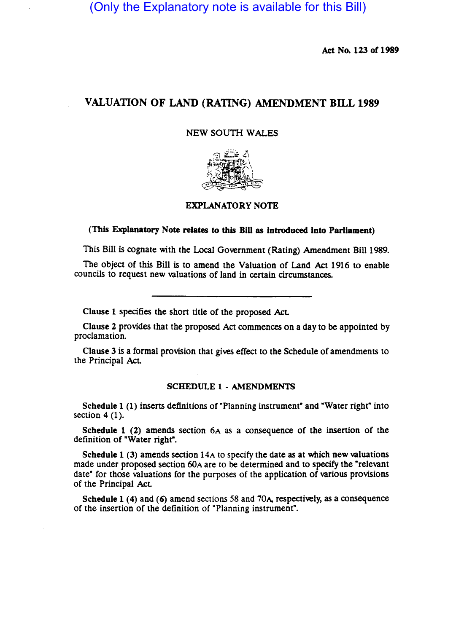(Only the Explanatory note is available for this Bill)

Act No. 123 of 1989

# VALUATION OF LAND (RATING) AMENDMENT BILL 1989

### NEW SOUTH WALES



## EXPLANATORY NOTE

## (This Explanatory Note relates to this Bill as introduced into Parliament)

This Bill is cognate with the Local Government (Rating) Amendment Bill 1989.

The Object of this Bill is to amend the Valuation of Land Act 1916 to enable councils to request new valuations of land in certain circumstances.

Clause 1 specifies the short title of the proposed Act

Clause 2 provides that the proposed Act commences on a day to be appointed by proclamation.

Clause 3 is a formal provision that gives effect to the Schedule of amendments to the Principal AcL

### SCHEDULE 1 • AMENDMENTS

Schedule 1 (1) inserts definitions of "Planning instrument" and "Water right" into section  $4(1)$ .

Schedule 1 (2) amends section 6A as a consequence of the insertion of the definition of "Water right".

Schedule 1 (3) amends section 14A to specify the date as at which new valuations made under proposed section 60A are to be determined and to specify the "relevant date" for those valuations for the purposes of the application of various provisions of the Principal AcL

Schedule 1 (4) and (6) amend sections 58 and 70A, respectively, as a consequence of the insertion of the definition of "Planning instrument".